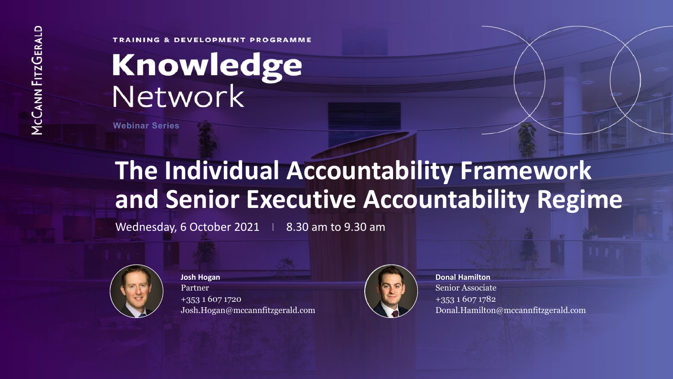**TRAINING & DEVELOPMENT PROGRAMME** 

# Knowledge<br>Network

**Webinar Series**

## **The Individual Accountability Framework and Senior Executive Accountability Regime**

Wednesday, 6 October 2021  $\parallel$  8.30 am to 9.30 am



**Josh Hogan** Partner +353 1 607 1720 Josh.Hogan@mccannfitzgerald.com



**Donal Hamilton** Senior Associate +353 1 607 1782 Donal.Hamilton@mccannfitzgerald.com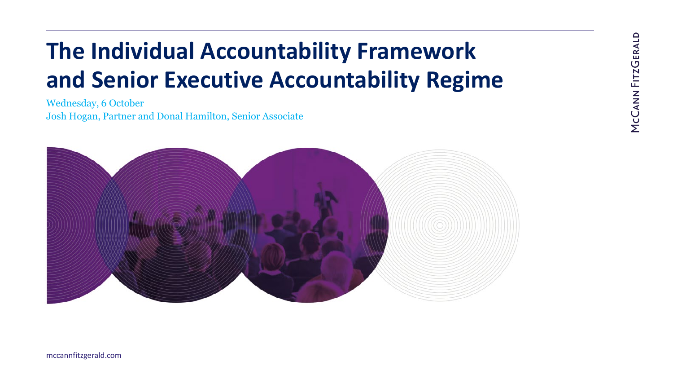## **The Individual Accountability Framework and Senior Executive Accountability Regime**

Wednesday, 6 October Josh Hogan, Partner and Donal Hamilton, Senior Associate

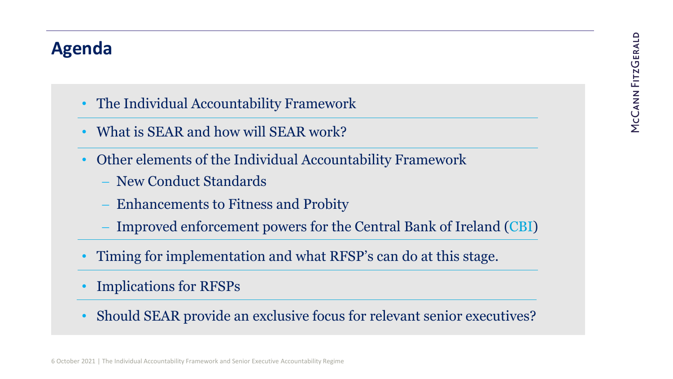#### **Agenda**

- The Individual Accountability Framework
- What is SEAR and how will SEAR work?
- Other elements of the Individual Accountability Framework
	- − New Conduct Standards
	- Enhancements to Fitness and Probity
	- Improved enforcement powers for the Central Bank of Ireland (CBI)
- Timing for implementation and what RFSP's can do at this stage.
- Implications for RFSPs
- Should SEAR provide an exclusive focus for relevant senior executives?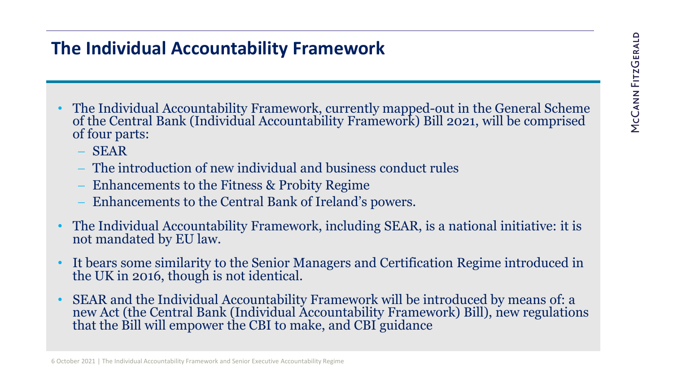#### **The Individual Accountability Framework**

- The Individual Accountability Framework, currently mapped-out in the General Scheme of the Central Bank (Individual Accountability Framework) Bill 2021, will be comprised of four parts:
	- − SEAR
	- − The introduction of new individual and business conduct rules
	- − Enhancements to the Fitness & Probity Regime
	- − Enhancements to the Central Bank of Ireland's powers.
- The Individual Accountability Framework, including SEAR, is a national initiative: it is not mandated by EU law.
- It bears some similarity to the Senior Managers and Certification Regime introduced in the UK in 2016, though is not identical.
- SEAR and the Individual Accountability Framework will be introduced by means of: a new Act (the Central Bank (Individual Accountability Framework) Bill), new regulations that the Bill will empower the CBI to make, and CBI guidance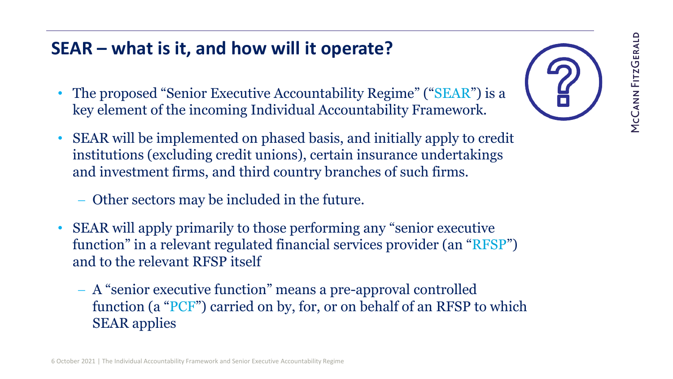- The proposed "Senior Executive Accountability Regime" ("SEAR") is a key element of the incoming Individual Accountability Framework.
- SEAR will be implemented on phased basis, and initially apply to credit institutions (excluding credit unions), certain insurance undertakings and investment firms, and third country branches of such firms.
	- − Other sectors may be included in the future.
- SEAR will apply primarily to those performing any "senior executive function" in a relevant regulated financial services provider (an "RFSP") and to the relevant RFSP itself
	- − A "senior executive function" means a pre-approval controlled function (a "PCF") carried on by, for, or on behalf of an RFSP to which SEAR applies

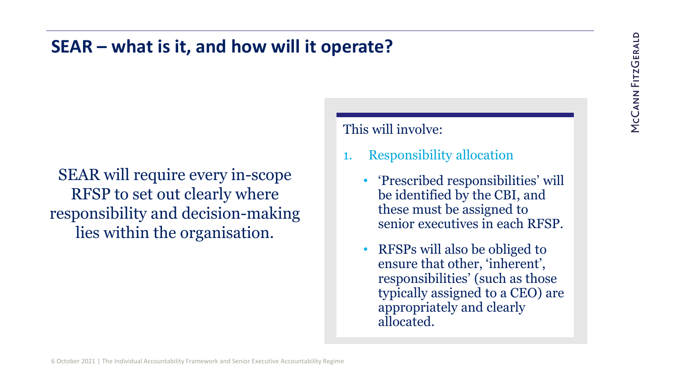SEAR will require every in-scope RFSP to set out clearly where responsibility and decision-making lies within the organisation.

#### This will involve:

- 1. Responsibility allocation
	- 'Prescribed responsibilities' will be identified by the CBI, and these must be assigned to senior executives in each RFSP.
	- RFSPs will also be obliged to ensure that other, 'inherent', responsibilities' (such as those typically assigned to a CEO) are appropriately and clearly allocated.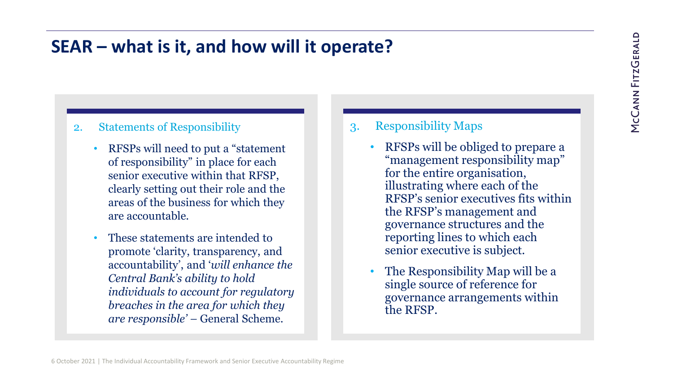#### 2. Statements of Responsibility

- RFSPs will need to put a "statement of responsibility" in place for each senior executive within that RFSP, clearly setting out their role and the areas of the business for which they are accountable.
- These statements are intended to promote 'clarity, transparency, and accountability', and '*will enhance the Central Bank's ability to hold individuals to account for regulatory breaches in the area for which they are responsible' –* General Scheme.

#### 3. Responsibility Maps

- RFSPs will be obliged to prepare a "management responsibility map" for the entire organisation, illustrating where each of the RFSP's senior executives fits within the RFSP's management and governance structures and the reporting lines to which each senior executive is subject.
- The Responsibility Map will be a single source of reference for governance arrangements within the RFSP.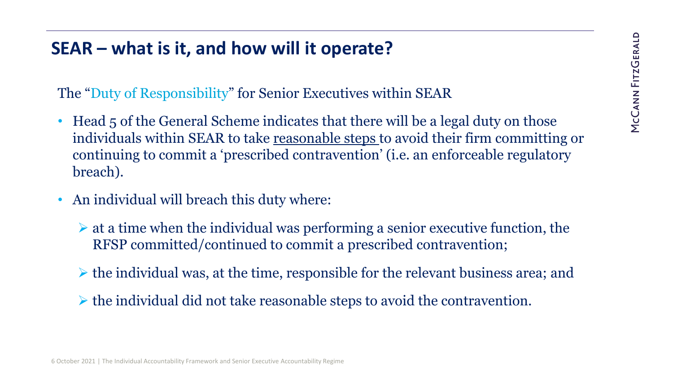The "Duty of Responsibility" for Senior Executives within SEAR

- Head 5 of the General Scheme indicates that there will be a legal duty on those individuals within SEAR to take reasonable steps to avoid their firm committing or continuing to commit a 'prescribed contravention' (i.e. an enforceable regulatory breach).
- An individual will breach this duty where:
	- $\triangleright$  at a time when the individual was performing a senior executive function, the RFSP committed/continued to commit a prescribed contravention;
	- $\triangleright$  the individual was, at the time, responsible for the relevant business area; and
	- $\triangleright$  the individual did not take reasonable steps to avoid the contravention.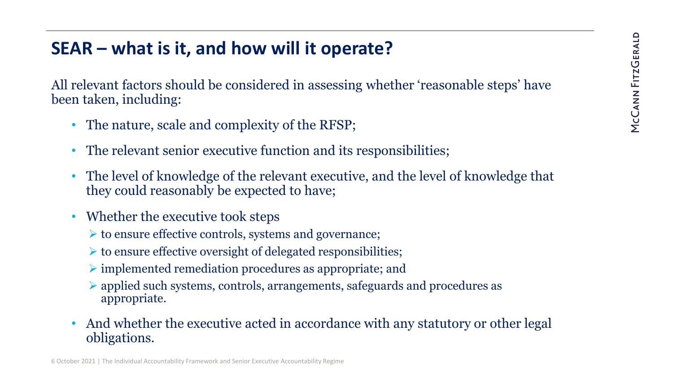All relevant factors should be considered in assessing whether 'reasonable steps' have been taken, including:

- The nature, scale and complexity of the RFSP;
- The relevant senior executive function and its responsibilities;
- The level of knowledge of the relevant executive, and the level of knowledge that they could reasonably be expected to have;
- Whether the executive took steps
	- $\triangleright$  to ensure effective controls, systems and governance;
	- $\triangleright$  to ensure effective oversight of delegated responsibilities;
	- $\triangleright$  implemented remediation procedures as appropriate; and
	- applied such systems, controls, arrangements, safeguards and procedures as appropriate.
- And whether the executive acted in accordance with any statutory or other legal obligations.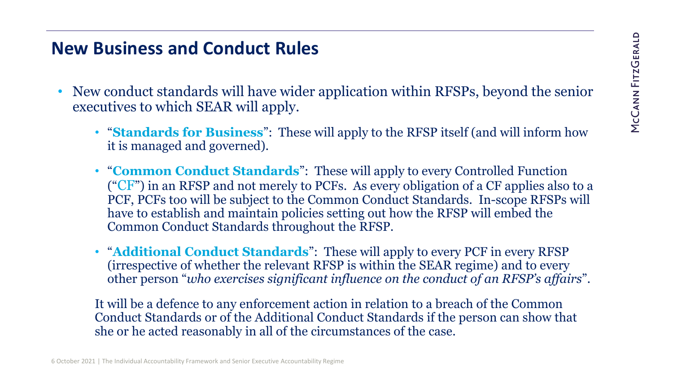#### **New Business and Conduct Rules**

- New conduct standards will have wider application within RFSPs, beyond the senior executives to which SEAR will apply.
	- "**Standards for Business**": These will apply to the RFSP itself (and will inform how it is managed and governed).
	- "**Common Conduct Standards**": These will apply to every Controlled Function  $({}^{\circ}CF$ ) in an RFSP and not merely to PCFs. As every obligation of a CF applies also to a PCF, PCFs too will be subject to the Common Conduct Standards. In-scope RFSPs will have to establish and maintain policies setting out how the RFSP will embed the Common Conduct Standards throughout the RFSP.
	- "**Additional Conduct Standards**": These will apply to every PCF in every RFSP (irrespective of whether the relevant RFSP is within the SEAR regime) and to every other person "*who exercises significant influence on the conduct of an RFSP's affairs*".

It will be a defence to any enforcement action in relation to a breach of the Common Conduct Standards or of the Additional Conduct Standards if the person can show that she or he acted reasonably in all of the circumstances of the case.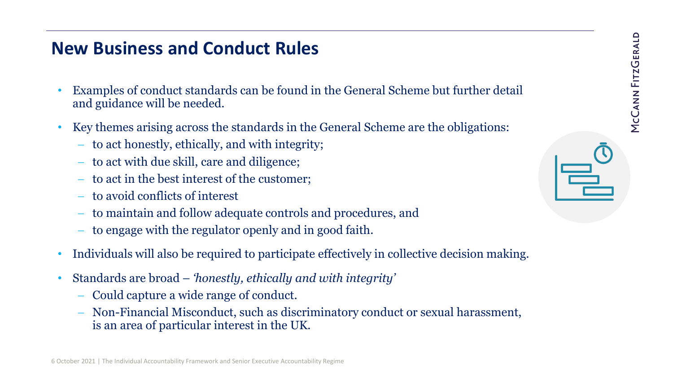#### **New Business and Conduct Rules**

- Examples of conduct standards can be found in the General Scheme but further detail and guidance will be needed.
- Key themes arising across the standards in the General Scheme are the obligations:
	- − to act honestly, ethically, and with integrity;
	- − to act with due skill, care and diligence;
	- to act in the best interest of the customer;
	- − to avoid conflicts of interest
	- to maintain and follow adequate controls and procedures, and
	- to engage with the regulator openly and in good faith.
- Individuals will also be required to participate effectively in collective decision making.
- Standards are broad *'honestly, ethically and with integrity'* 
	- − Could capture a wide range of conduct.
	- − Non-Financial Misconduct, such as discriminatory conduct or sexual harassment, is an area of particular interest in the UK.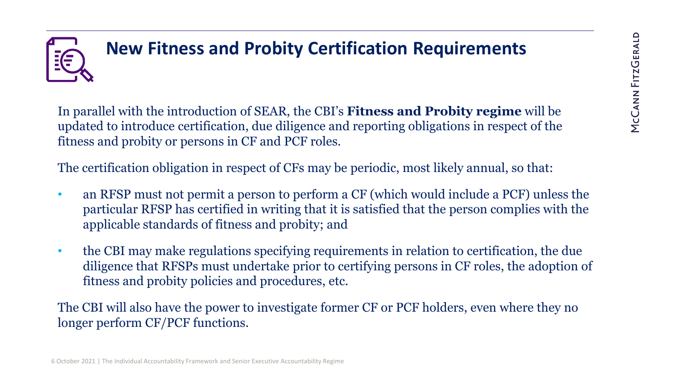## **New Fitness and Probity Certification Requirements**

In parallel with the introduction of SEAR, the CBI's **Fitness and Probity regime** will be updated to introduce certification, due diligence and reporting obligations in respect of the fitness and probity or persons in CF and PCF roles.

The certification obligation in respect of CFs may be periodic, most likely annual, so that:

- an RFSP must not permit a person to perform a CF (which would include a PCF) unless the particular RFSP has certified in writing that it is satisfied that the person complies with the applicable standards of fitness and probity; and
- the CBI may make regulations specifying requirements in relation to certification, the due diligence that RFSPs must undertake prior to certifying persons in CF roles, the adoption of fitness and probity policies and procedures, etc.

The CBI will also have the power to investigate former CF or PCF holders, even where they no longer perform CF/PCF functions.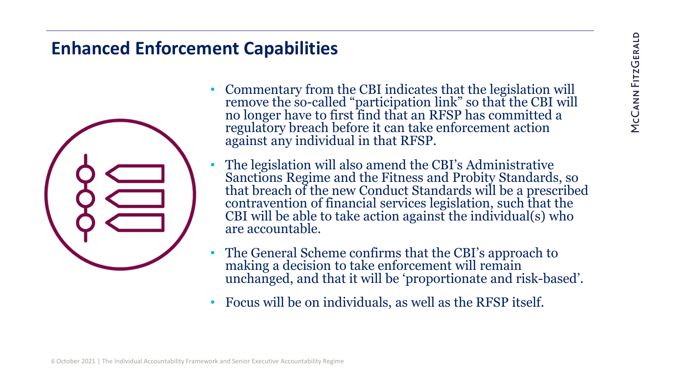#### **Enhanced Enforcement Capabilities**



- Commentary from the CBI indicates that the legislation will remove the so-called "participation link" so that the CBI will no longer have to first find that an RFSP has committed a regulatory breach before it can take enforcement action against any individual in that RFSP.
- The legislation will also amend the CBI's Administrative Sanctions Regime and the Fitness and Probity Standards, so that breach of the new Conduct Standards will be a prescribed contravention of financial services legislation, such that the CBI will be able to take action against the individual(s) who are accountable.
- The General Scheme confirms that the CBI's approach to making a decision to take enforcement will remain unchanged, and that it will be 'proportionate and risk-based'.
- Focus will be on individuals, as well as the RFSP itself.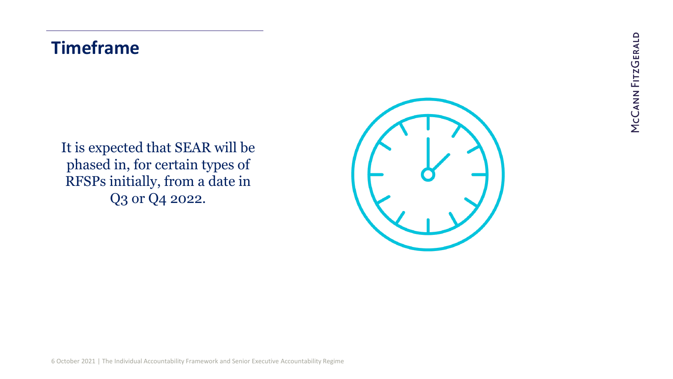#### **Timeframe**

It is expected that SEAR will be phased in, for certain types of RFSPs initially, from a date in Q3 or Q4 2022.

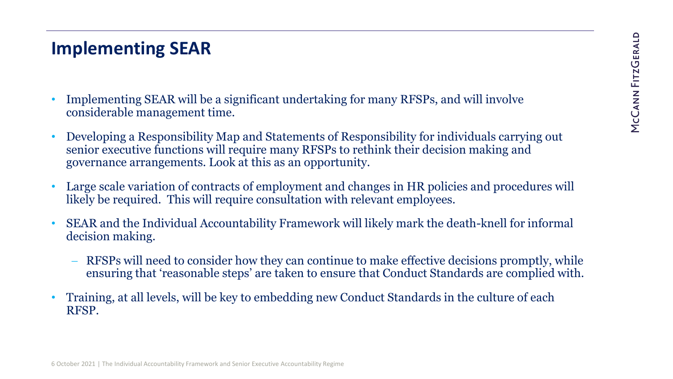#### **Implementing SEAR**

- Implementing SEAR will be a significant undertaking for many RFSPs, and will involve considerable management time.
- Developing a Responsibility Map and Statements of Responsibility for individuals carrying out senior executive functions will require many RFSPs to rethink their decision making and governance arrangements. Look at this as an opportunity.
- Large scale variation of contracts of employment and changes in HR policies and procedures will likely be required. This will require consultation with relevant employees.
- SEAR and the Individual Accountability Framework will likely mark the death-knell for informal decision making.
	- RFSPs will need to consider how they can continue to make effective decisions promptly, while ensuring that 'reasonable steps' are taken to ensure that Conduct Standards are complied with.
- Training, at all levels, will be key to embedding new Conduct Standards in the culture of each RFSP.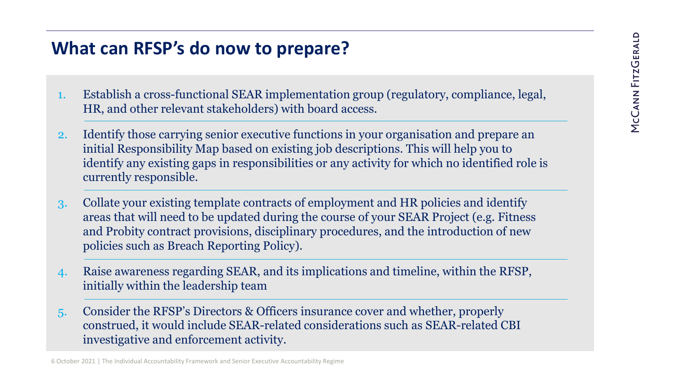#### **What can RFSP's do now to prepare?**

- 1. Establish a cross-functional SEAR implementation group (regulatory, compliance, legal, HR, and other relevant stakeholders) with board access.
- 2. Identify those carrying senior executive functions in your organisation and prepare an initial Responsibility Map based on existing job descriptions. This will help you to identify any existing gaps in responsibilities or any activity for which no identified role is currently responsible.
- 3. Collate your existing template contracts of employment and HR policies and identify areas that will need to be updated during the course of your SEAR Project (e.g. Fitness and Probity contract provisions, disciplinary procedures, and the introduction of new policies such as Breach Reporting Policy).
- 4. Raise awareness regarding SEAR, and its implications and timeline, within the RFSP, initially within the leadership team
- 5. Consider the RFSP's Directors & Officers insurance cover and whether, properly construed, it would include SEAR-related considerations such as SEAR-related CBI investigative and enforcement activity.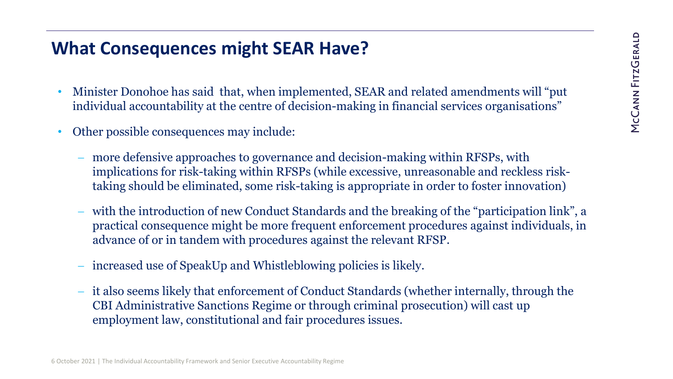#### **What Consequences might SEAR Have?**

- Minister Donohoe has said that, when implemented, SEAR and related amendments will "put individual accountability at the centre of decision-making in financial services organisations"
- Other possible consequences may include:
	- nore defensive approaches to governance and decision-making within RFSPs, with implications for risk-taking within RFSPs (while excessive, unreasonable and reckless risktaking should be eliminated, some risk-taking is appropriate in order to foster innovation)
	- − with the introduction of new Conduct Standards and the breaking of the "participation link", a practical consequence might be more frequent enforcement procedures against individuals, in advance of or in tandem with procedures against the relevant RFSP.
	- ncreased use of SpeakUp and Whistleblowing policies is likely.
	- the also seems likely that enforcement of Conduct Standards (whether internally, through the CBI Administrative Sanctions Regime or through criminal prosecution) will cast up employment law, constitutional and fair procedures issues.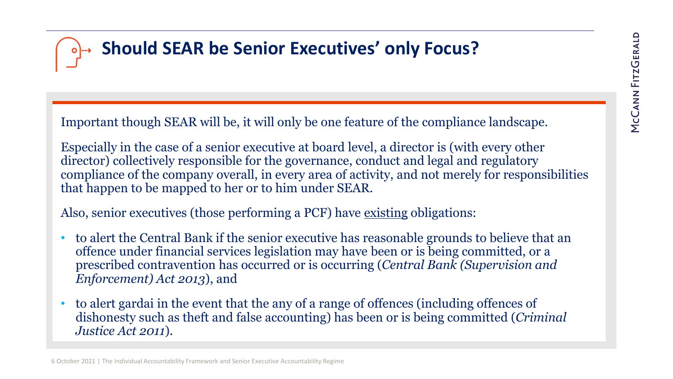## **Should SEAR be Senior Executives' only Focus?**

Important though SEAR will be, it will only be one feature of the compliance landscape.

Especially in the case of a senior executive at board level, a director is (with every other director) collectively responsible for the governance, conduct and legal and regulatory compliance of the company overall, in every area of activity, and not merely for responsibilities that happen to be mapped to her or to him under SEAR.

Also, senior executives (those performing a PCF) have existing obligations:

- to alert the Central Bank if the senior executive has reasonable grounds to believe that an offence under financial services legislation may have been or is being committed, or a prescribed contravention has occurred or is occurring (*Central Bank (Supervision and Enforcement) Act 2013*), and
- to alert gardai in the event that the any of a range of offences (including offences of dishonesty such as theft and false accounting) has been or is being committed (*Criminal Justice Act 2011*).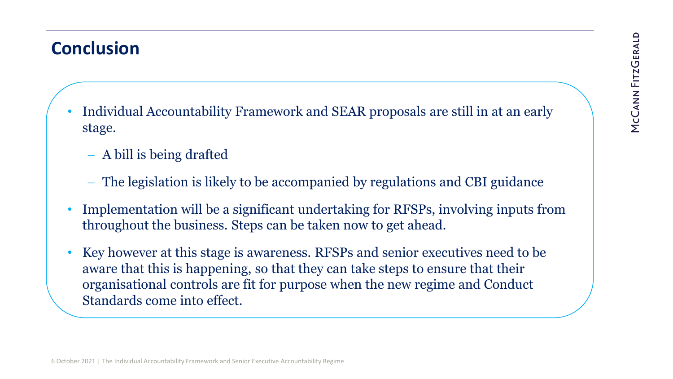#### **Conclusion**

- Individual Accountability Framework and SEAR proposals are still in at an early stage.
	- − A bill is being drafted
	- The legislation is likely to be accompanied by regulations and CBI guidance
- Implementation will be a significant undertaking for RFSPs, involving inputs from throughout the business. Steps can be taken now to get ahead.
- Key however at this stage is awareness. RFSPs and senior executives need to be aware that this is happening, so that they can take steps to ensure that their organisational controls are fit for purpose when the new regime and Conduct Standards come into effect.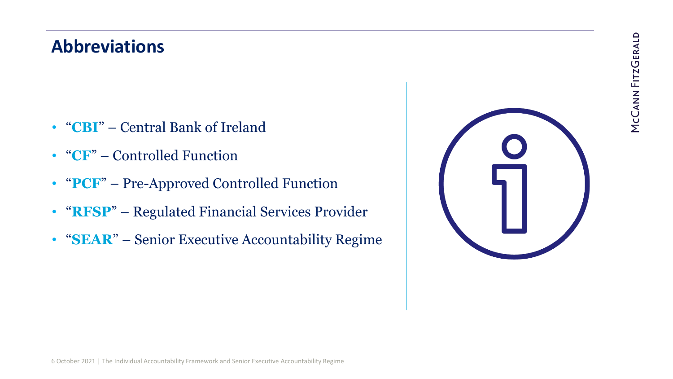#### **Abbreviations**

- "**CBI**" Central Bank of Ireland
- "**CF**" Controlled Function
- "**PCF**" Pre-Approved Controlled Function
- "**RFSP**" Regulated Financial Services Provider
- "**SEAR**" Senior Executive Accountability Regime